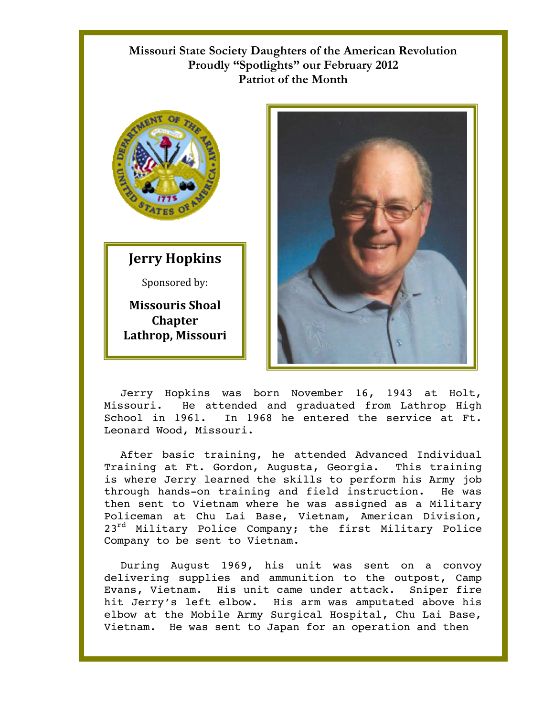## **Missouri State Society Daughters of the American Revolution Proudly "Spotlights" our February 2012 Patriot of the Month**



## **Jerry Hopkins**

Sponsored by:

**Missouris Shoal Chapter Lathrop, Missouri** 



Jerry Hopkins was born November 16, 1943 at Holt, Missouri. He attended and graduated from Lathrop High School in 1961. In 1968 he entered the service at Ft. Leonard Wood, Missouri.

After basic training, he attended Advanced Individual Training at Ft. Gordon, Augusta, Georgia. This training is where Jerry learned the skills to perform his Army job through hands-on training and field instruction. He was then sent to Vietnam where he was assigned as a Military Policeman at Chu Lai Base, Vietnam, American Division, 23<sup>rd</sup> Military Police Company; the first Military Police Company to be sent to Vietnam.

During August 1969, his unit was sent on a convoy delivering supplies and ammunition to the outpost, Camp Evans, Vietnam. His unit came under attack. Sniper fire hit Jerry's left elbow. His arm was amputated above his elbow at the Mobile Army Surgical Hospital, Chu Lai Base, Vietnam. He was sent to Japan for an operation and then